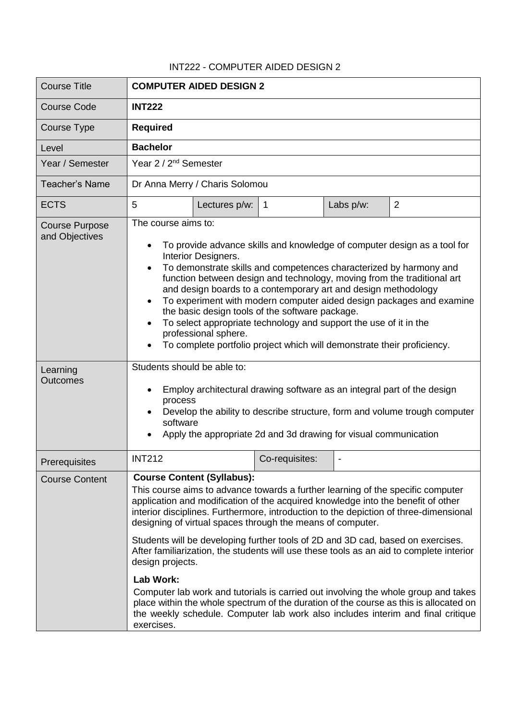## INT222 - COMPUTER AIDED DESIGN 2

| <b>Course Title</b>                     | <b>COMPUTER AIDED DESIGN 2</b>                                                                                                                                                                                                                                                                                                                                                                                                                                                                                                                                                                                                                                                                                                                                                                                                                                        |               |                |           |                |
|-----------------------------------------|-----------------------------------------------------------------------------------------------------------------------------------------------------------------------------------------------------------------------------------------------------------------------------------------------------------------------------------------------------------------------------------------------------------------------------------------------------------------------------------------------------------------------------------------------------------------------------------------------------------------------------------------------------------------------------------------------------------------------------------------------------------------------------------------------------------------------------------------------------------------------|---------------|----------------|-----------|----------------|
| <b>Course Code</b>                      | <b>INT222</b>                                                                                                                                                                                                                                                                                                                                                                                                                                                                                                                                                                                                                                                                                                                                                                                                                                                         |               |                |           |                |
| Course Type                             | <b>Required</b>                                                                                                                                                                                                                                                                                                                                                                                                                                                                                                                                                                                                                                                                                                                                                                                                                                                       |               |                |           |                |
| Level                                   | <b>Bachelor</b>                                                                                                                                                                                                                                                                                                                                                                                                                                                                                                                                                                                                                                                                                                                                                                                                                                                       |               |                |           |                |
| Year / Semester                         | Year 2 / 2 <sup>nd</sup> Semester                                                                                                                                                                                                                                                                                                                                                                                                                                                                                                                                                                                                                                                                                                                                                                                                                                     |               |                |           |                |
| <b>Teacher's Name</b>                   | Dr Anna Merry / Charis Solomou                                                                                                                                                                                                                                                                                                                                                                                                                                                                                                                                                                                                                                                                                                                                                                                                                                        |               |                |           |                |
| <b>ECTS</b>                             | 5                                                                                                                                                                                                                                                                                                                                                                                                                                                                                                                                                                                                                                                                                                                                                                                                                                                                     | Lectures p/w: | $\overline{1}$ | Labs p/w: | $\overline{2}$ |
| <b>Course Purpose</b><br>and Objectives | The course aims to:<br>To provide advance skills and knowledge of computer design as a tool for<br>Interior Designers.<br>To demonstrate skills and competences characterized by harmony and<br>function between design and technology, moving from the traditional art<br>and design boards to a contemporary art and design methodology<br>To experiment with modern computer aided design packages and examine<br>the basic design tools of the software package.<br>To select appropriate technology and support the use of it in the<br>professional sphere.<br>To complete portfolio project which will demonstrate their proficiency.                                                                                                                                                                                                                          |               |                |           |                |
| Learning<br><b>Outcomes</b>             | Students should be able to:<br>Employ architectural drawing software as an integral part of the design<br>process<br>Develop the ability to describe structure, form and volume trough computer<br>software<br>Apply the appropriate 2d and 3d drawing for visual communication                                                                                                                                                                                                                                                                                                                                                                                                                                                                                                                                                                                       |               |                |           |                |
| Prerequisites                           | <b>INT212</b>                                                                                                                                                                                                                                                                                                                                                                                                                                                                                                                                                                                                                                                                                                                                                                                                                                                         |               | Co-requisites: |           |                |
| <b>Course Content</b>                   | <b>Course Content (Syllabus):</b><br>This course aims to advance towards a further learning of the specific computer<br>application and modification of the acquired knowledge into the benefit of other<br>interior disciplines. Furthermore, introduction to the depiction of three-dimensional<br>designing of virtual spaces through the means of computer.<br>Students will be developing further tools of 2D and 3D cad, based on exercises.<br>After familiarization, the students will use these tools as an aid to complete interior<br>design projects.<br><b>Lab Work:</b><br>Computer lab work and tutorials is carried out involving the whole group and takes<br>place within the whole spectrum of the duration of the course as this is allocated on<br>the weekly schedule. Computer lab work also includes interim and final critique<br>exercises. |               |                |           |                |